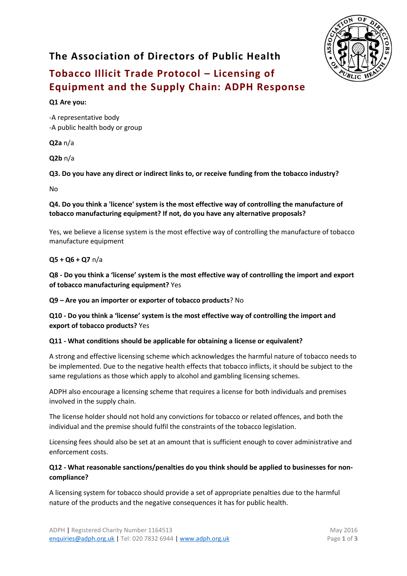

# **The Association of Directors of Public Health**

# **Tobacco Illicit Trade Protocol – Licensing of Equipment and the Supply Chain: ADPH Response**

# **Q1 Are you:**

-A representative body -A public health body or group

**Q2a** n/a

**Q2b** n/a

**Q3. Do you have any direct or indirect links to, or receive funding from the tobacco industry?**

No

#### **Q4. Do you think a 'licence' system is the most effective way of controlling the manufacture of tobacco manufacturing equipment? If not, do you have any alternative proposals?**

Yes, we believe a license system is the most effective way of controlling the manufacture of tobacco manufacture equipment

# **Q5 + Q6 + Q7** n/a

**Q8 - Do you think a 'license' system is the most effective way of controlling the import and export of tobacco manufacturing equipment?** Yes

**Q9 – Are you an importer or exporter of tobacco products**? No

**Q10 - Do you think a 'license' system is the most effective way of controlling the import and export of tobacco products?** Yes

# **Q11 - What conditions should be applicable for obtaining a license or equivalent?**

A strong and effective licensing scheme which acknowledges the harmful nature of tobacco needs to be implemented. Due to the negative health effects that tobacco inflicts, it should be subject to the same regulations as those which apply to alcohol and gambling licensing schemes.

ADPH also encourage a licensing scheme that requires a license for both individuals and premises involved in the supply chain.

The license holder should not hold any convictions for tobacco or related offences, and both the individual and the premise should fulfil the constraints of the tobacco legislation.

Licensing fees should also be set at an amount that is sufficient enough to cover administrative and enforcement costs.

# **Q12 - What reasonable sanctions/penalties do you think should be applied to businesses for noncompliance?**

A licensing system for tobacco should provide a set of appropriate penalties due to the harmful nature of the products and the negative consequences it has for public health.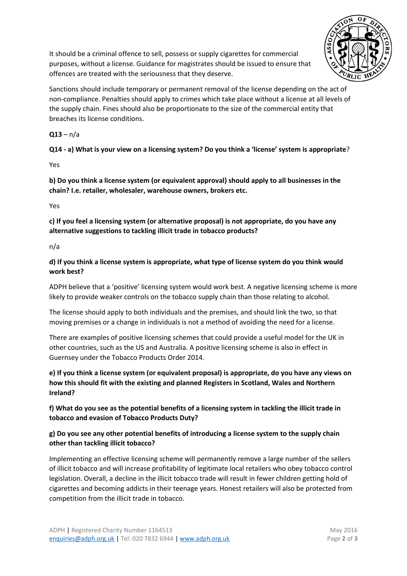

It should be a criminal offence to sell, possess or supply cigarettes for commercial purposes, without a license. Guidance for magistrates should be issued to ensure that offences are treated with the seriousness that they deserve.

Sanctions should include temporary or permanent removal of the license depending on the act of non-compliance. Penalties should apply to crimes which take place without a license at all levels of the supply chain. Fines should also be proportionate to the size of the commercial entity that breaches its license conditions.

# $Q13 - n/a$

**Q14 - a) What is your view on a licensing system? Do you think a 'license' system is appropriate**?

Yes

**b) Do you think a license system (or equivalent approval) should apply to all businesses in the chain? I.e. retailer, wholesaler, warehouse owners, brokers etc.** 

Yes

**c) If you feel a licensing system (or alternative proposal) is not appropriate, do you have any alternative suggestions to tackling illicit trade in tobacco products?** 

#### n/a

**d) If you think a license system is appropriate, what type of license system do you think would work best?**

ADPH believe that a 'positive' licensing system would work best. A negative licensing scheme is more likely to provide weaker controls on the tobacco supply chain than those relating to alcohol.

The license should apply to both individuals and the premises, and should link the two, so that moving premises or a change in individuals is not a method of avoiding the need for a license.

There are examples of positive licensing schemes that could provide a useful model for the UK in other countries, such as the US and Australia. A positive licensing scheme is also in effect in Guernsey under the Tobacco Products Order 2014.

**e) If you think a license system (or equivalent proposal) is appropriate, do you have any views on how this should fit with the existing and planned Registers in Scotland, Wales and Northern Ireland?**

**f) What do you see as the potential benefits of a licensing system in tackling the illicit trade in tobacco and evasion of Tobacco Products Duty?**

# **g) Do you see any other potential benefits of introducing a license system to the supply chain other than tackling illicit tobacco?**

Implementing an effective licensing scheme will permanently remove a large number of the sellers of illicit tobacco and will increase profitability of legitimate local retailers who obey tobacco control legislation. Overall, a decline in the illicit tobacco trade will result in fewer children getting hold of cigarettes and becoming addicts in their teenage years. Honest retailers will also be protected from competition from the illicit trade in tobacco.